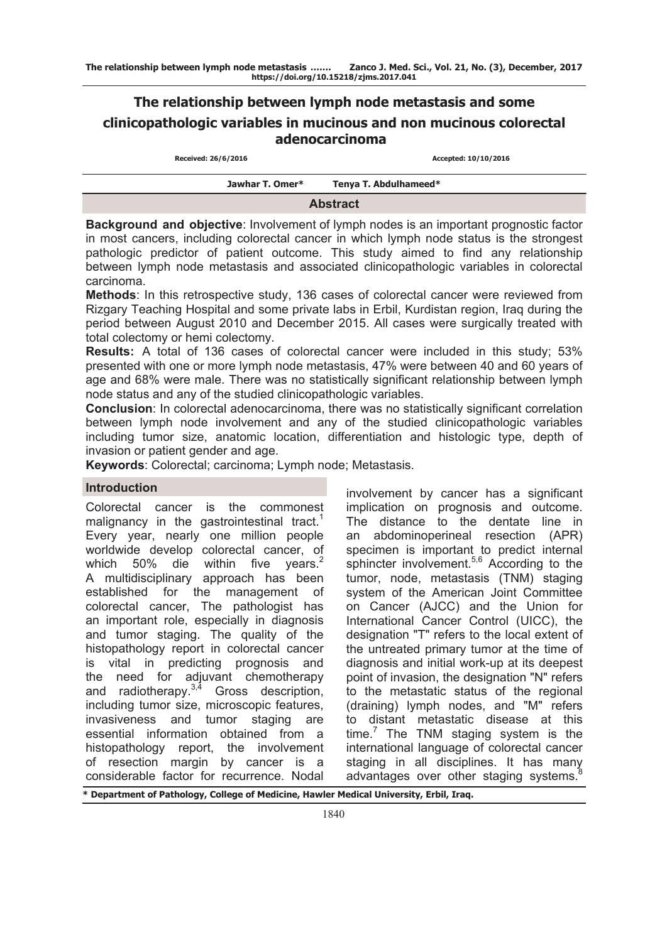# **The relationship between lymph node metastasis and some clinicopathologic variables in mucinous and non mucinous colorectal adenocarcinoma**

| Received: 26/6/2016 | Accepted: 10/10/2016  |  |
|---------------------|-----------------------|--|
| Jawhar T. Omer*     | Tenya T. Abdulhameed* |  |
| <b>Abstract</b>     |                       |  |

**Background and objective**: Involvement of lymph nodes is an important prognostic factor in most cancers, including colorectal cancer in which lymph node status is the strongest pathologic predictor of patient outcome. This study aimed to find any relationship between lymph node metastasis and associated clinicopathologic variables in colorectal carcinoma.

**Methods**: In this retrospective study, 136 cases of colorectal cancer were reviewed from Rizgary Teaching Hospital and some private labs in Erbil, Kurdistan region, Iraq during the period between August 2010 and December 2015. All cases were surgically treated with total colectomy or hemi colectomy.

**Results:** A total of 136 cases of colorectal cancer were included in this study; 53% presented with one or more lymph node metastasis, 47% were between 40 and 60 years of age and 68% were male. There was no statistically significant relationship between lymph node status and any of the studied clinicopathologic variables.

**Conclusion**: In colorectal adenocarcinoma, there was no statistically significant correlation between lymph node involvement and any of the studied clinicopathologic variables including tumor size, anatomic location, differentiation and histologic type, depth of invasion or patient gender and age.

**Keywords**: Colorectal; carcinoma; Lymph node; Metastasis.

# **Introduction**

Colorectal cancer is the commonest malignancy in the gastrointestinal tract.<sup>1</sup> Every year, nearly one million people worldwide develop colorectal cancer, of which 50% die within five years. $2$ A multidisciplinary approach has been established for the management of colorectal cancer, The pathologist has an important role, especially in diagnosis and tumor staging. The quality of the histopathology report in colorectal cancer is vital in predicting prognosis and the need for adjuvant chemotherapy and radiotherapy. $3,4$  Gross description, including tumor size, microscopic features, invasiveness and tumor staging are essential information obtained from a histopathology report, the involvement of resection margin by cancer is a considerable factor for recurrence. Nodal

involvement by cancer has a significant implication on prognosis and outcome. The distance to the dentate line in an abdominoperineal resection (APR) specimen is important to predict internal sphincter involvement.<sup>5,6</sup> According to the tumor, node, metastasis (TNM) staging system of the American Joint Committee on Cancer (AJCC) and the Union for International Cancer Control (UICC), the designation "T" refers to the local extent of the untreated primary tumor at the time of diagnosis and initial work-up at its deepest point of invasion, the designation "N" refers to the metastatic status of the regional (draining) lymph nodes, and "M" refers to distant metastatic disease at this  $time<sup>7</sup>$  The TNM staging system is the international language of colorectal cancer staging in all disciplines. It has many advantages over other staging systems.<sup>8</sup>

**\* Department of Pathology, College of Medicine, Hawler Medical University, Erbil, Iraq.**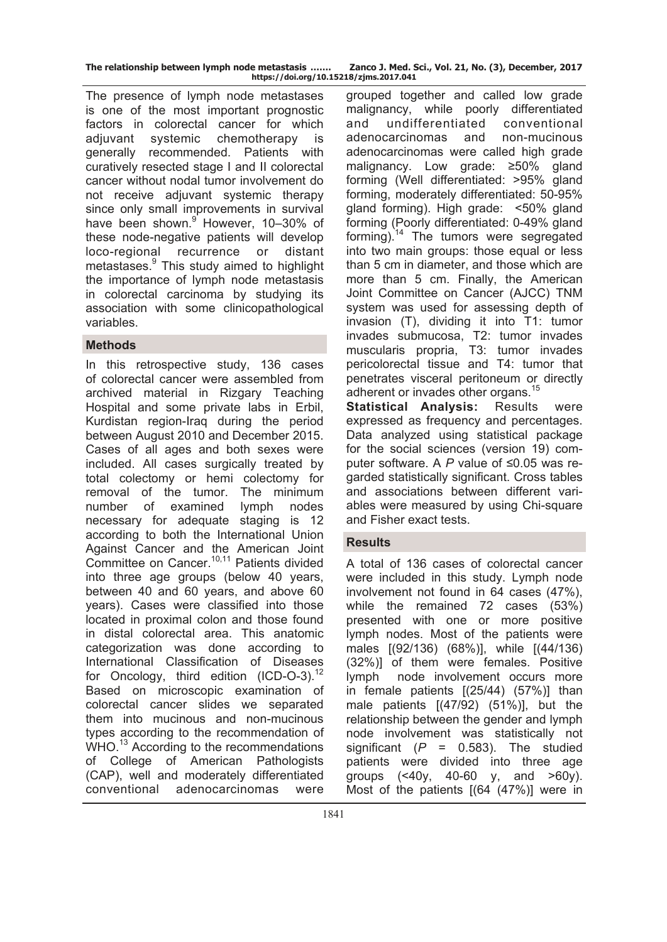**The relationship between lymph node metastasis ……. Zanco J. Med. Sci., Vol. 21, No. (3), December, 2017 https://doi.org/10.15218/zjms.2017.041**

The presence of lymph node metastases is one of the most important prognostic factors in colorectal cancer for which adjuvant systemic chemotherapy is generally recommended. Patients with curatively resected stage I and II colorectal cancer without nodal tumor involvement do not receive adjuvant systemic therapy since only small improvements in survival have been shown.<sup>9</sup> However, 10-30% of these node-negative patients will develop loco-regional recurrence or distant metastases.<sup>9</sup> This study aimed to highlight the importance of lymph node metastasis in colorectal carcinoma by studying its association with some clinicopathological variables.

# **Methods**

In this retrospective study, 136 cases of colorectal cancer were assembled from archived material in Rizgary Teaching Hospital and some private labs in Erbil, Kurdistan region-Iraq during the period between August 2010 and December 2015. Cases of all ages and both sexes were included. All cases surgically treated by total colectomy or hemi colectomy for removal of the tumor. The minimum number of examined lymph nodes necessary for adequate staging is 12 according to both the International Union Against Cancer and the American Joint Committee on Cancer.<sup>10,11</sup> Patients divided into three age groups (below 40 years, between 40 and 60 years, and above 60 years). Cases were classified into those located in proximal colon and those found in distal colorectal area. This anatomic categorization was done according to International Classification of Diseases for Oncology, third edition (ICD-O-3).<sup>12</sup> Based on microscopic examination of colorectal cancer slides we separated them into mucinous and non-mucinous types according to the recommendation of WHO.<sup>13</sup> According to the recommendations of College of American Pathologists (CAP), well and moderately differentiated conventional adenocarcinomas were

grouped together and called low grade malignancy, while poorly differentiated and undifferentiated conventional adenocarcinomas and non-mucinous adenocarcinomas were called high grade malignancy. Low grade: ≥50% gland forming (Well differentiated: >95% gland forming, moderately differentiated: 50-95% gland forming). High grade: <50% gland forming (Poorly differentiated: 0-49% gland forming).<sup>14</sup> The tumors were segregated into two main groups: those equal or less than 5 cm in diameter, and those which are more than 5 cm. Finally, the American Joint Committee on Cancer (AJCC) TNM system was used for assessing depth of invasion (T), dividing it into T1: tumor invades submucosa, T2: tumor invades muscularis propria, T3: tumor invades pericolorectal tissue and T4: tumor that penetrates visceral peritoneum or directly adherent or invades other organs.<sup>15</sup>

**Statistical Analysis:** Results were expressed as frequency and percentages. Data analyzed using statistical package for the social sciences (version 19) computer software. A *P* value of ≤0.05 was regarded statistically significant. Cross tables and associations between different variables were measured by using Chi-square and Fisher exact tests.

# **Results**

A total of 136 cases of colorectal cancer were included in this study. Lymph node involvement not found in 64 cases (47%), while the remained 72 cases (53%) presented with one or more positive lymph nodes. Most of the patients were males [(92/136) (68%)], while [(44/136) (32%)] of them were females. Positive lymph node involvement occurs more in female patients [(25/44) (57%)] than male patients [(47/92) (51%)], but the relationship between the gender and lymph node involvement was statistically not significant  $(P = 0.583)$ . The studied patients were divided into three age groups (<40y, 40-60 y, and >60y). Most of the patients [(64 (47%)] were in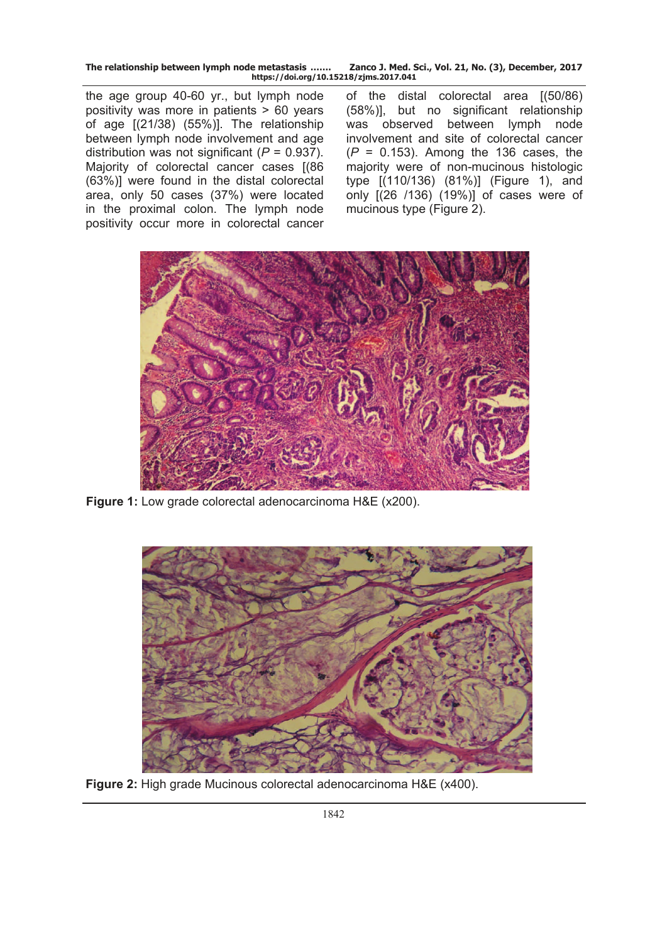**The relationship between lymph node metastasis ……. Zanco J. Med. Sci., Vol. 21, No. (3), December, 2017 https://doi.org/10.15218/zjms.2017.041**

the age group 40-60 yr., but lymph node positivity was more in patients  $> 60$  years of age [(21/38) (55%)]. The relationship between lymph node involvement and age distribution was not significant (*P* = 0.937). Majority of colorectal cancer cases [(86 (63%)] were found in the distal colorectal area, only 50 cases (37%) were located in the proximal colon. The lymph node positivity occur more in colorectal cancer

of the distal colorectal area [(50/86) (58%)], but no significant relationship was observed between lymph node involvement and site of colorectal cancer (*P* = 0.153). Among the 136 cases, the majority were of non-mucinous histologic type [(110/136) (81%)] (Figure 1), and only [(26 /136) (19%)] of cases were of mucinous type (Figure 2).



**Figure 1:** Low grade colorectal adenocarcinoma H&E (x200).



**Figure 2:** High grade Mucinous colorectal adenocarcinoma H&E (x400).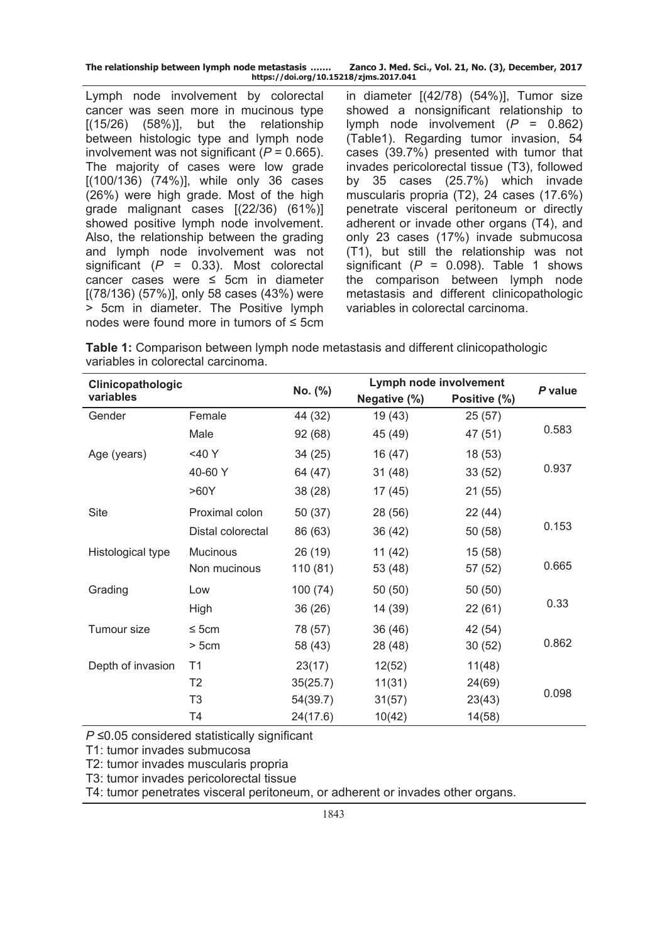| The relationship between lymph node metastasis | Zanco J. Med. Sci., Vol. 21, No. (3), December, 2017 |  |  |  |  |
|------------------------------------------------|------------------------------------------------------|--|--|--|--|
| https://doi.org/10.15218/zjms.2017.041         |                                                      |  |  |  |  |

Lymph node involvement by colorectal cancer was seen more in mucinous type  $[(15/26)$   $(58%)]$ , but the relationship between histologic type and lymph node involvement was not significant  $(P = 0.665)$ . The majority of cases were low grade [(100/136) (74%)], while only 36 cases (26%) were high grade. Most of the high grade malignant cases [(22/36) (61%)] showed positive lymph node involvement. Also, the relationship between the grading and lymph node involvement was not significant (*P* = 0.33). Most colorectal cancer cases were ≤ 5cm in diameter [(78/136) (57%)], only 58 cases (43%) were ˃ 5cm in diameter. The Positive lymph nodes were found more in tumors of ≤ 5cm in diameter [(42/78) (54%)], Tumor size showed a nonsignificant relationship to lymph node involvement (*P* = 0.862) (Table1). Regarding tumor invasion, 54 cases (39.7%) presented with tumor that invades pericolorectal tissue (T3), followed by 35 cases (25.7%) which invade muscularis propria (T2), 24 cases (17.6%) penetrate visceral peritoneum or directly adherent or invade other organs (T4), and only 23 cases (17%) invade submucosa (T1), but still the relationship was not significant  $(P = 0.098)$ . Table 1 shows the comparison between lymph node metastasis and different clinicopathologic variables in colorectal carcinoma.

**Table 1:** Comparison between lymph node metastasis and different clinicopathologic variables in colorectal carcinoma.

| Clinicopathologic |                   | No. (%)  | Lymph node involvement |              |         |
|-------------------|-------------------|----------|------------------------|--------------|---------|
| variables         |                   |          | Negative (%)           | Positive (%) | P value |
| Gender            | Female            | 44 (32)  | 19 (43)                | 25(57)       |         |
|                   | Male              | 92 (68)  | 45 (49)                | 47 (51)      | 0.583   |
| Age (years)       | <40 Y             | 34(25)   | 16 (47)                | 18 (53)      |         |
|                   | 40-60 Y           | 64 (47)  | 31(48)                 | 33(52)       | 0.937   |
|                   | >60Y              | 38 (28)  | 17 (45)                | 21 (55)      |         |
| <b>Site</b>       | Proximal colon    | 50 (37)  | 28 (56)                | 22(44)       |         |
|                   | Distal colorectal | 86 (63)  | 36 (42)                | 50 (58)      | 0.153   |
| Histological type | Mucinous          | 26 (19)  | 11(42)                 | 15(58)       |         |
|                   | Non mucinous      | 110(81)  | 53 (48)                | 57 (52)      | 0.665   |
| Grading           | Low               | 100 (74) | 50(50)                 | 50(50)       |         |
|                   | High              | 36 (26)  | 14 (39)                | 22(61)       | 0.33    |
| Tumour size       | $\leq$ 5cm        | 78 (57)  | 36(46)                 | 42 (54)      |         |
|                   | >5cm              | 58 (43)  | 28 (48)                | 30(52)       | 0.862   |
| Depth of invasion | T1                | 23(17)   | 12(52)                 | 11(48)       |         |
|                   | T <sub>2</sub>    | 35(25.7) | 11(31)                 | 24(69)       |         |
|                   | T <sub>3</sub>    | 54(39.7) | 31(57)                 | 23(43)       | 0.098   |
|                   | T4                | 24(17.6) | 10(42)                 | 14(58)       |         |

*P* ≤0.05 considered statistically significant

T1: tumor invades submucosa

T2: tumor invades muscularis propria

T3: tumor invades pericolorectal tissue

T4: tumor penetrates visceral peritoneum, or adherent or invades other organs.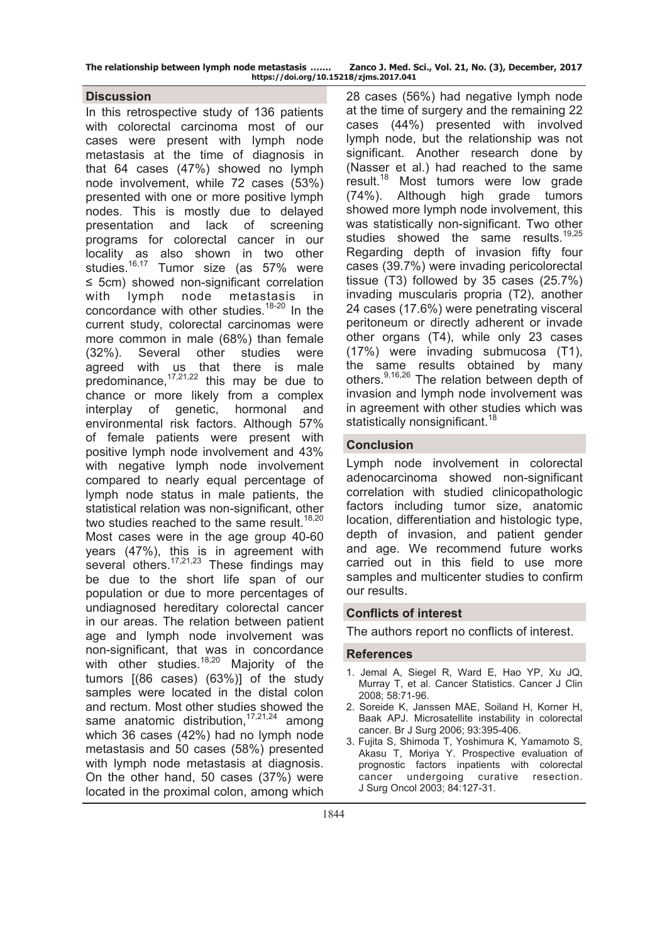| The relationship between lymph node metastasis | Zanco J. Med. Sci., Vol. 21, No. (3), December, 2017 |  |  |  |  |
|------------------------------------------------|------------------------------------------------------|--|--|--|--|
| https://doi.org/10.15218/zjms.2017.041         |                                                      |  |  |  |  |

## **Discussion**

In this retrospective study of 136 patients with colorectal carcinoma most of our cases were present with lymph node metastasis at the time of diagnosis in that 64 cases (47%) showed no lymph node involvement, while 72 cases (53%) presented with one or more positive lymph nodes. This is mostly due to delayed presentation and lack of screening programs for colorectal cancer in our locality as also shown in two other studies.<sup>16,17</sup> Tumor size (as 57% were ≤ 5cm) showed non-significant correlation with lymph node metastasis in concordance with other studies.<sup>18-20</sup> In the current study, colorectal carcinomas were more common in male (68%) than female (32%). Several other studies were agreed with us that there is male predominance,17,21,22 this may be due to chance or more likely from a complex interplay of genetic, hormonal and environmental risk factors. Although 57% of female patients were present with positive lymph node involvement and 43% with negative lymph node involvement compared to nearly equal percentage of lymph node status in male patients, the statistical relation was non-significant, other two studies reached to the same result. $18,20$ Most cases were in the age group 40-60 years (47%), this is in agreement with several others.<sup>17,21,23</sup> These findings may be due to the short life span of our population or due to more percentages of undiagnosed hereditary colorectal cancer in our areas. The relation between patient age and lymph node involvement was non-significant, that was in concordance with other studies. $18,20$  Majority of the tumors [(86 cases) (63%)] of the study samples were located in the distal colon and rectum. Most other studies showed the same anatomic distribution.<sup>17,21,24</sup> among which 36 cases (42%) had no lymph node metastasis and 50 cases (58%) presented with lymph node metastasis at diagnosis. On the other hand, 50 cases (37%) were located in the proximal colon, among which

28 cases (56%) had negative lymph node at the time of surgery and the remaining 22 cases (44%) presented with involved lymph node, but the relationship was not significant. Another research done by (Nasser et al.) had reached to the same result.<sup>18</sup> Most tumors were low grade (74%). Although high grade tumors showed more lymph node involvement, this was statistically non-significant. Two other studies showed the same results.<sup>19,25</sup> Regarding depth of invasion fifty four cases (39.7%) were invading pericolorectal tissue (T3) followed by 35 cases (25.7%) invading muscularis propria (T2), another 24 cases (17.6%) were penetrating visceral peritoneum or directly adherent or invade other organs (T4), while only 23 cases (17%) were invading submucosa (T1), the same results obtained by many others.<sup>9,16,26</sup> The relation between depth of invasion and lymph node involvement was in agreement with other studies which was statistically nonsignificant.<sup>18</sup>

## **Conclusion**

Lymph node involvement in colorectal adenocarcinoma showed non-significant correlation with studied clinicopathologic factors including tumor size, anatomic location, differentiation and histologic type, depth of invasion, and patient gender and age. We recommend future works carried out in this field to use more samples and multicenter studies to confirm our results.

## **Conflicts of interest**

The authors report no conflicts of interest.

## **References**

- 1. Jemal A, Siegel R, Ward E, Hao YP, Xu JQ, Murray T, et al. Cancer Statistics. Cancer J Clin 2008; 58:71-96.
- 2. Soreide K, Janssen MAE, Soiland H, Korner H, Baak APJ. Microsatellite instability in colorectal cancer. Br J Surg 2006; 93:395-406.
- 3. Fujita S, Shimoda T, Yoshimura K, Yamamoto S, Akasu T, Moriya Y. Prospective evaluation of prognostic factors inpatients with colorectal cancer undergoing curative resection. J Surg Oncol 2003; 84:127-31.